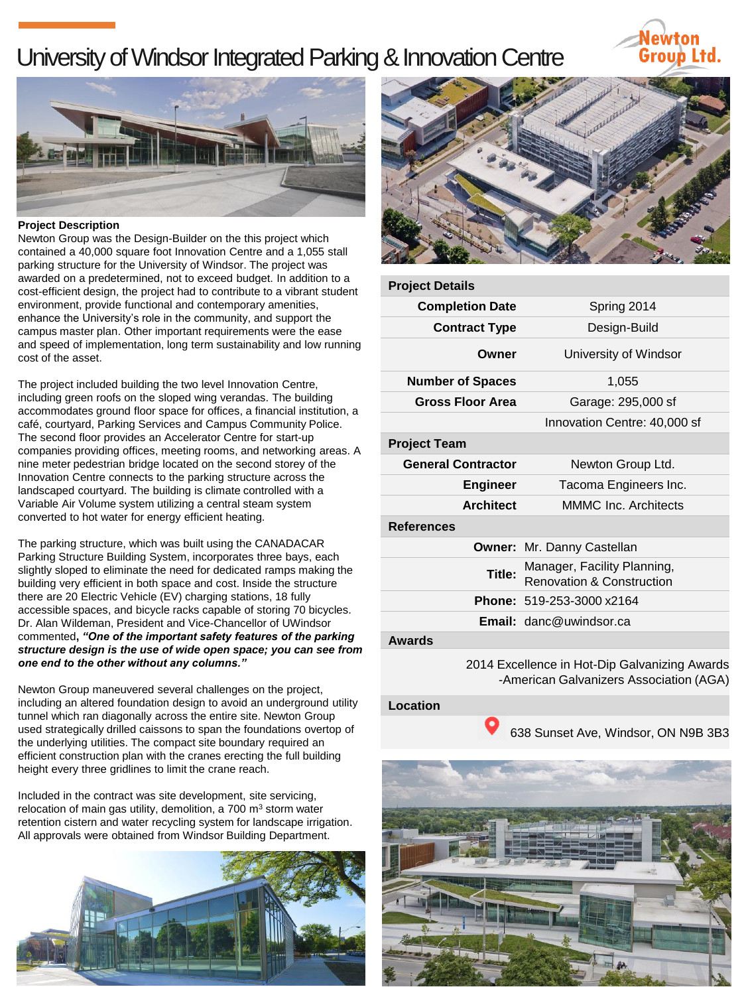## University of Windsor Integrated Parking & Innovation Centre





## **Project Description**

Newton Group was the Design-Builder on the this project which contained a 40,000 square foot Innovation Centre and a 1,055 stall parking structure for the University of Windsor. The project was awarded on a predetermined, not to exceed budget. In addition to a cost-efficient design, the project had to contribute to a vibrant student environment, provide functional and contemporary amenities, enhance the University's role in the community, and support the campus master plan. Other important requirements were the ease and speed of implementation, long term sustainability and low running cost of the asset.

The project included building the two level Innovation Centre, including green roofs on the sloped wing verandas. The building accommodates ground floor space for offices, a financial institution, a café, courtyard, Parking Services and Campus Community Police. The second floor provides an Accelerator Centre for start-up companies providing offices, meeting rooms, and networking areas. A nine meter pedestrian bridge located on the second storey of the Innovation Centre connects to the parking structure across the landscaped courtyard. The building is climate controlled with a Variable Air Volume system utilizing a central steam system converted to hot water for energy efficient heating.

The parking structure, which was built using the CANADACAR Parking Structure Building System, incorporates three bays, each slightly sloped to eliminate the need for dedicated ramps making the building very efficient in both space and cost. Inside the structure there are 20 Electric Vehicle (EV) charging stations, 18 fully accessible spaces, and bicycle racks capable of storing 70 bicycles. Dr. Alan Wildeman, President and Vice-Chancellor of UWindsor commented**,** *"One of the important safety features of the parking structure design is the use of wide open space; you can see from one end to the other without any columns."* 

Newton Group maneuvered several challenges on the project, including an altered foundation design to avoid an underground utility tunnel which ran diagonally across the entire site. Newton Group used strategically drilled caissons to span the foundations overtop of the underlying utilities. The compact site boundary required an efficient construction plan with the cranes erecting the full building height every three gridlines to limit the crane reach.

Included in the contract was site development, site servicing, relocation of main gas utility, demolition, a 700 m<sup>3</sup> storm water retention cistern and water recycling system for landscape irrigation. All approvals were obtained from Windsor Building Department.





| <b>Project Details</b>                        |                                                                     |
|-----------------------------------------------|---------------------------------------------------------------------|
| <b>Completion Date</b>                        | Spring 2014                                                         |
| <b>Contract Type</b>                          | Design-Build                                                        |
| Owner                                         | University of Windsor                                               |
| <b>Number of Spaces</b>                       | 1,055                                                               |
| <b>Gross Floor Area</b>                       | Garage: 295,000 sf                                                  |
|                                               | Innovation Centre: 40,000 sf                                        |
| <b>Project Team</b>                           |                                                                     |
| <b>General Contractor</b>                     | Newton Group Ltd.                                                   |
| <b>Engineer</b>                               | Tacoma Engineers Inc.                                               |
| <b>Architect</b>                              | MMMC Inc. Architects                                                |
| <b>References</b>                             |                                                                     |
|                                               | <b>Owner: Mr. Danny Castellan</b>                                   |
| Title:                                        | Manager, Facility Planning,<br><b>Renovation &amp; Construction</b> |
|                                               | Phone: 519-253-3000 x2164                                           |
|                                               | <b>Email:</b> danc@uwindsor.ca                                      |
| <b>Awards</b>                                 |                                                                     |
| 2014 Executence in Het Din Celvenizing Awerde |                                                                     |

2014 Excellence in Hot-Dip Galvanizing Awards -American Galvanizers Association (AGA)

## **Location**

638 Sunset Ave, Windsor, ON N9B 3B3